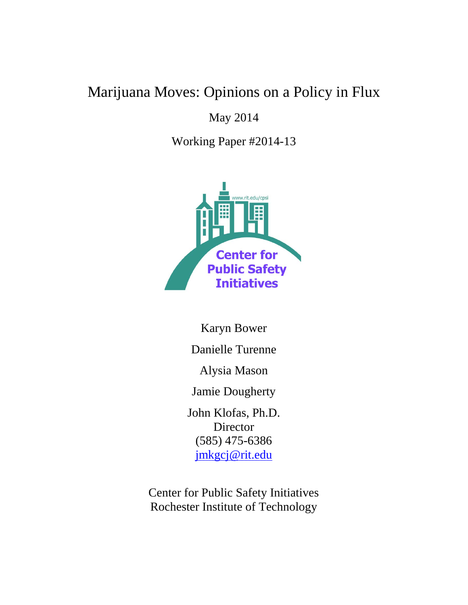# Marijuana Moves: Opinions on a Policy in Flux

# May 2014

Working Paper #2014-13



Karyn Bower Danielle Turenne Alysia Mason Jamie Dougherty John Klofas, Ph.D. Director (585) 475-6386 [jmkgcj@rit.edu](mailto:jmkgcj@rit.edu)

Center for Public Safety Initiatives Rochester Institute of Technology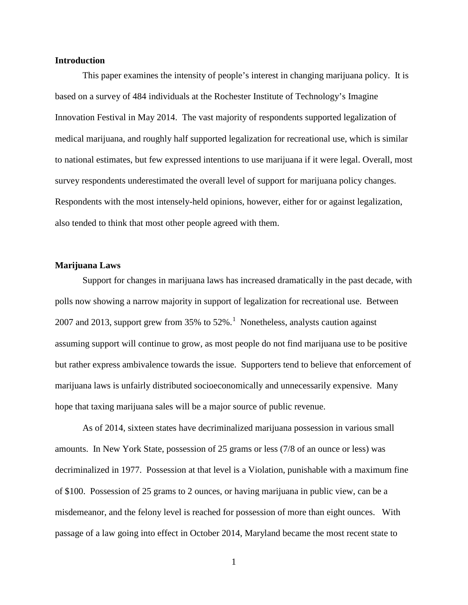#### **Introduction**

This paper examines the intensity of people's interest in changing marijuana policy. It is based on a survey of 484 individuals at the Rochester Institute of Technology's Imagine Innovation Festival in May 2014. The vast majority of respondents supported legalization of medical marijuana, and roughly half supported legalization for recreational use, which is similar to national estimates, but few expressed intentions to use marijuana if it were legal. Overall, most survey respondents underestimated the overall level of support for marijuana policy changes. Respondents with the most intensely-held opinions, however, either for or against legalization, also tended to think that most other people agreed with them.

#### **Marijuana Laws**

Support for changes in marijuana laws has increased dramatically in the past decade, with polls now showing a narrow majority in support of legalization for recreational use. Between 2007 and 20[1](#page-11-0)3, support grew from 35% to  $52\%$ .<sup>1</sup> Nonetheless, analysts caution against assuming support will continue to grow, as most people do not find marijuana use to be positive but rather express ambivalence towards the issue. Supporters tend to believe that enforcement of marijuana laws is unfairly distributed socioeconomically and unnecessarily expensive. Many hope that taxing marijuana sales will be a major source of public revenue.

As of 2014, sixteen states have decriminalized marijuana possession in various small amounts. In New York State, possession of 25 grams or less (7/8 of an ounce or less) was decriminalized in 1977. Possession at that level is a Violation, punishable with a maximum fine of \$100. Possession of 25 grams to 2 ounces, or having marijuana in public view, can be a misdemeanor, and the felony level is reached for possession of more than eight ounces. With passage of a law going into effect in October 2014, Maryland became the most recent state to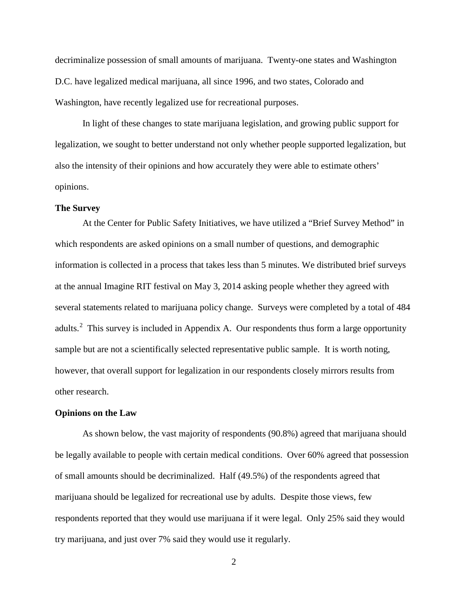decriminalize possession of small amounts of marijuana. Twenty-one states and Washington D.C. have legalized medical marijuana, all since 1996, and two states, Colorado and Washington, have recently legalized use for recreational purposes.

In light of these changes to state marijuana legislation, and growing public support for legalization, we sought to better understand not only whether people supported legalization, but also the intensity of their opinions and how accurately they were able to estimate others' opinions.

#### **The Survey**

At the Center for Public Safety Initiatives, we have utilized a "Brief Survey Method" in which respondents are asked opinions on a small number of questions, and demographic information is collected in a process that takes less than 5 minutes. We distributed brief surveys at the annual Imagine RIT festival on May 3, 2014 asking people whether they agreed with several statements related to marijuana policy change. Surveys were completed by a total of 484 adults.<sup>[2](#page-11-1)</sup> This survey is included in Appendix A. Our respondents thus form a large opportunity sample but are not a scientifically selected representative public sample. It is worth noting, however, that overall support for legalization in our respondents closely mirrors results from other research.

#### **Opinions on the Law**

As shown below, the vast majority of respondents (90.8%) agreed that marijuana should be legally available to people with certain medical conditions. Over 60% agreed that possession of small amounts should be decriminalized. Half (49.5%) of the respondents agreed that marijuana should be legalized for recreational use by adults. Despite those views, few respondents reported that they would use marijuana if it were legal. Only 25% said they would try marijuana, and just over 7% said they would use it regularly.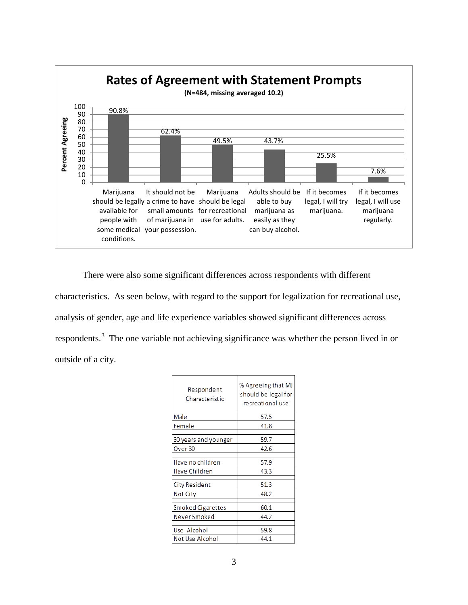

There were also some significant differences across respondents with different characteristics. As seen below, with regard to the support for legalization for recreational use, analysis of gender, age and life experience variables showed significant differences across respondents.<sup>[3](#page-11-2)</sup> The one variable not achieving significance was whether the person lived in or outside of a city.

| Respondent<br>Characteristic | % Agreeing that MJ<br>should be legal for<br>recreational use |  |  |  |  |  |  |
|------------------------------|---------------------------------------------------------------|--|--|--|--|--|--|
| Male                         | 57.5                                                          |  |  |  |  |  |  |
| Female                       | 41.8                                                          |  |  |  |  |  |  |
| 30 years and younger         | 59.7                                                          |  |  |  |  |  |  |
| Over 30                      | 42.6                                                          |  |  |  |  |  |  |
| Have no children             | 57.9                                                          |  |  |  |  |  |  |
| Have Children                | 43.3                                                          |  |  |  |  |  |  |
| City Resident                | 51.3                                                          |  |  |  |  |  |  |
| Not City                     | 48.2                                                          |  |  |  |  |  |  |
| Smoked Cigarettes            | 60.1                                                          |  |  |  |  |  |  |
| Never Smoked                 | 44.2                                                          |  |  |  |  |  |  |
| Use Alcohol                  | 59.8                                                          |  |  |  |  |  |  |
| Not Use Alcohol              | 44.1                                                          |  |  |  |  |  |  |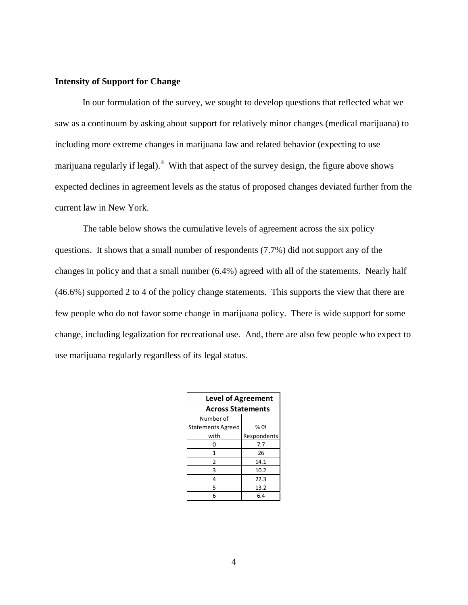#### **Intensity of Support for Change**

In our formulation of the survey, we sought to develop questions that reflected what we saw as a continuum by asking about support for relatively minor changes (medical marijuana) to including more extreme changes in marijuana law and related behavior (expecting to use marijuana regularly if legal).<sup>[4](#page-11-3)</sup> With that aspect of the survey design, the figure above shows expected declines in agreement levels as the status of proposed changes deviated further from the current law in New York.

The table below shows the cumulative levels of agreement across the six policy questions. It shows that a small number of respondents (7.7%) did not support any of the changes in policy and that a small number (6.4%) agreed with all of the statements. Nearly half (46.6%) supported 2 to 4 of the policy change statements. This supports the view that there are few people who do not favor some change in marijuana policy. There is wide support for some change, including legalization for recreational use. And, there are also few people who expect to use marijuana regularly regardless of its legal status.

| <b>Level of Agreement</b> |             |  |  |  |  |  |  |  |  |
|---------------------------|-------------|--|--|--|--|--|--|--|--|
| <b>Across Statements</b>  |             |  |  |  |  |  |  |  |  |
| Number of                 |             |  |  |  |  |  |  |  |  |
| <b>Statements Agreed</b>  | $%$ Of      |  |  |  |  |  |  |  |  |
| with                      | Respondents |  |  |  |  |  |  |  |  |
| 0                         | 7.7         |  |  |  |  |  |  |  |  |
| 1                         | 26          |  |  |  |  |  |  |  |  |
| 2                         | 14.1        |  |  |  |  |  |  |  |  |
| 3                         | 10.2        |  |  |  |  |  |  |  |  |
| 4                         | 22.3        |  |  |  |  |  |  |  |  |
| 5                         | 13.2        |  |  |  |  |  |  |  |  |
| 6                         | 6.4         |  |  |  |  |  |  |  |  |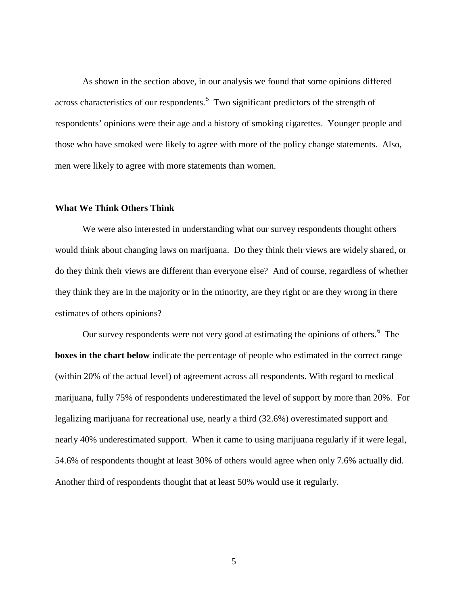As shown in the section above, in our analysis we found that some opinions differed across characteristics of our respondents.<sup>[5](#page-11-4)</sup> Two significant predictors of the strength of respondents' opinions were their age and a history of smoking cigarettes. Younger people and those who have smoked were likely to agree with more of the policy change statements. Also, men were likely to agree with more statements than women.

#### **What We Think Others Think**

We were also interested in understanding what our survey respondents thought others would think about changing laws on marijuana. Do they think their views are widely shared, or do they think their views are different than everyone else? And of course, regardless of whether they think they are in the majority or in the minority, are they right or are they wrong in there estimates of others opinions?

Our survey respondents were not very good at estimating the opinions of others.<sup>[6](#page-11-5)</sup> The **boxes in the chart below** indicate the percentage of people who estimated in the correct range (within 20% of the actual level) of agreement across all respondents. With regard to medical marijuana, fully 75% of respondents underestimated the level of support by more than 20%. For legalizing marijuana for recreational use, nearly a third (32.6%) overestimated support and nearly 40% underestimated support. When it came to using marijuana regularly if it were legal, 54.6% of respondents thought at least 30% of others would agree when only 7.6% actually did. Another third of respondents thought that at least 50% would use it regularly.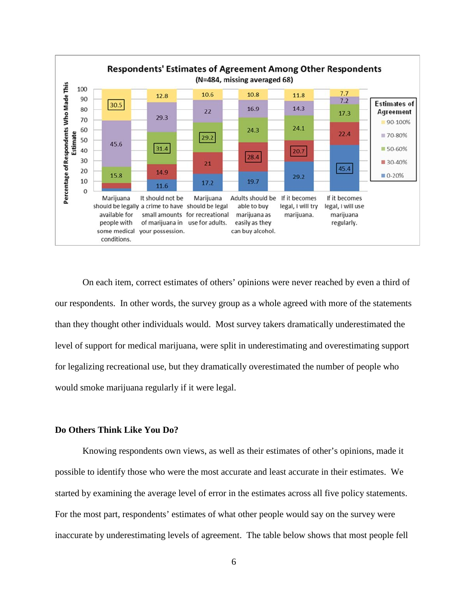

On each item, correct estimates of others' opinions were never reached by even a third of our respondents. In other words, the survey group as a whole agreed with more of the statements than they thought other individuals would. Most survey takers dramatically underestimated the level of support for medical marijuana, were split in underestimating and overestimating support for legalizing recreational use, but they dramatically overestimated the number of people who would smoke marijuana regularly if it were legal.

### **Do Others Think Like You Do?**

Knowing respondents own views, as well as their estimates of other's opinions, made it possible to identify those who were the most accurate and least accurate in their estimates. We started by examining the average level of error in the estimates across all five policy statements. For the most part, respondents' estimates of what other people would say on the survey were inaccurate by underestimating levels of agreement. The table below shows that most people fell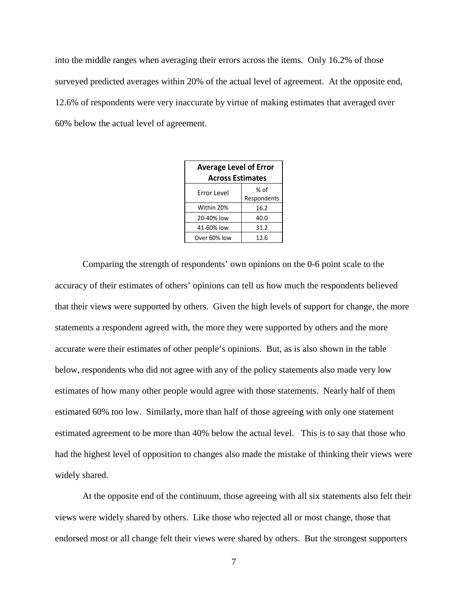into the middle ranges when averaging their errors across the items. Only 16.2% of those surveyed predicted averages within 20% of the actual level of agreement. At the opposite end, 12.6% of respondents were very inaccurate by virtue of making estimates that averaged over 60% below the actual level of agreement.

| <b>Average Level of Error</b><br><b>Across Estimates</b> |                     |  |  |  |  |  |  |  |  |  |
|----------------------------------------------------------|---------------------|--|--|--|--|--|--|--|--|--|
| Error Level                                              | % of<br>Respondents |  |  |  |  |  |  |  |  |  |
| Within 20%                                               | 16.2                |  |  |  |  |  |  |  |  |  |
| 20-40% low                                               | 40.0                |  |  |  |  |  |  |  |  |  |
| 41-60% low                                               | 31.2                |  |  |  |  |  |  |  |  |  |
| Over 60% low                                             | 12.6                |  |  |  |  |  |  |  |  |  |

Comparing the strength of respondents' own opinions on the 0-6 point scale to the accuracy of their estimates of others' opinions can tell us how much the respondents believed that their views were supported by others. Given the high levels of support for change, the more statements a respondent agreed with, the more they were supported by others and the more accurate were their estimates of other people's opinions. But, as is also shown in the table below, respondents who did not agree with any of the policy statements also made very low estimates of how many other people would agree with those statements. Nearly half of them estimated 60% too low. Similarly, more than half of those agreeing with only one statement estimated agreement to be more than 40% below the actual level. This is to say that those who had the highest level of opposition to changes also made the mistake of thinking their views were widely shared.

At the opposite end of the continuum, those agreeing with all six statements also felt their views were widely shared by others. Like those who rejected all or most change, those that endorsed most or all change felt their views were shared by others. But the strongest supporters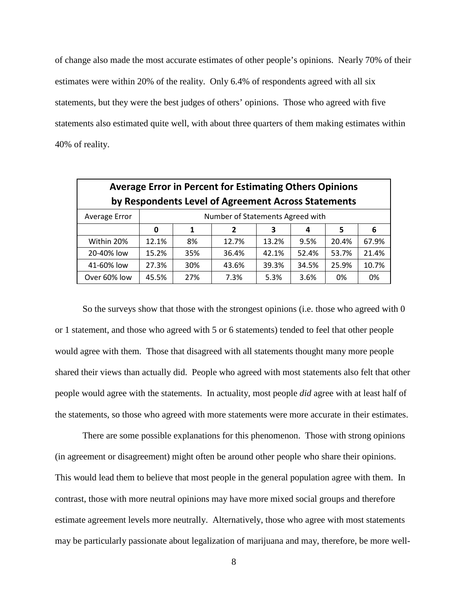of change also made the most accurate estimates of other people's opinions. Nearly 70% of their estimates were within 20% of the reality. Only 6.4% of respondents agreed with all six statements, but they were the best judges of others' opinions. Those who agreed with five statements also estimated quite well, with about three quarters of them making estimates within 40% of reality.

| <b>Average Error in Percent for Estimating Others Opinions</b> |                                  |     |       |       |       |       |       |  |  |  |  |  |  |
|----------------------------------------------------------------|----------------------------------|-----|-------|-------|-------|-------|-------|--|--|--|--|--|--|
| by Respondents Level of Agreement Across Statements            |                                  |     |       |       |       |       |       |  |  |  |  |  |  |
| Average Error                                                  | Number of Statements Agreed with |     |       |       |       |       |       |  |  |  |  |  |  |
|                                                                | 0                                | 1   | 4     | 5     | 6     |       |       |  |  |  |  |  |  |
| Within 20%                                                     | 12.1%                            | 8%  | 12.7% | 13.2% | 9.5%  | 20.4% | 67.9% |  |  |  |  |  |  |
| 20-40% low                                                     | 15.2%                            | 35% | 36.4% | 42.1% | 52.4% | 53.7% | 21.4% |  |  |  |  |  |  |
| 41-60% low                                                     | 27.3%                            | 30% | 43.6% | 39.3% | 34.5% | 25.9% | 10.7% |  |  |  |  |  |  |
| Over 60% low                                                   | 45.5%                            | 27% | 7.3%  | 5.3%  | 3.6%  | 0%    | 0%    |  |  |  |  |  |  |

So the surveys show that those with the strongest opinions (i.e. those who agreed with 0 or 1 statement, and those who agreed with 5 or 6 statements) tended to feel that other people would agree with them. Those that disagreed with all statements thought many more people shared their views than actually did. People who agreed with most statements also felt that other people would agree with the statements. In actuality, most people *did* agree with at least half of the statements, so those who agreed with more statements were more accurate in their estimates.

There are some possible explanations for this phenomenon. Those with strong opinions (in agreement or disagreement) might often be around other people who share their opinions. This would lead them to believe that most people in the general population agree with them. In contrast, those with more neutral opinions may have more mixed social groups and therefore estimate agreement levels more neutrally. Alternatively, those who agree with most statements may be particularly passionate about legalization of marijuana and may, therefore, be more well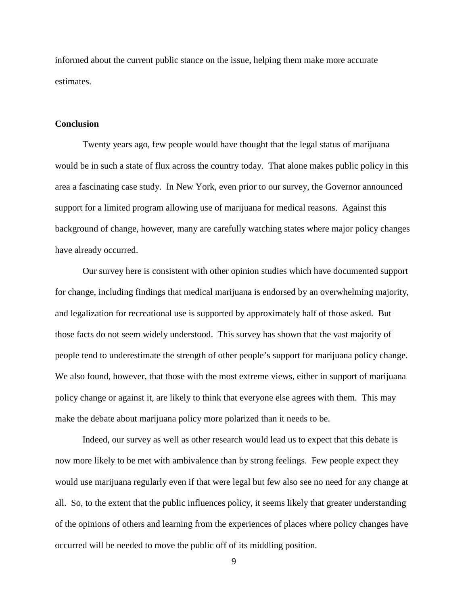informed about the current public stance on the issue, helping them make more accurate estimates.

#### **Conclusion**

Twenty years ago, few people would have thought that the legal status of marijuana would be in such a state of flux across the country today. That alone makes public policy in this area a fascinating case study. In New York, even prior to our survey, the Governor announced support for a limited program allowing use of marijuana for medical reasons. Against this background of change, however, many are carefully watching states where major policy changes have already occurred.

Our survey here is consistent with other opinion studies which have documented support for change, including findings that medical marijuana is endorsed by an overwhelming majority, and legalization for recreational use is supported by approximately half of those asked. But those facts do not seem widely understood. This survey has shown that the vast majority of people tend to underestimate the strength of other people's support for marijuana policy change. We also found, however, that those with the most extreme views, either in support of marijuana policy change or against it, are likely to think that everyone else agrees with them. This may make the debate about marijuana policy more polarized than it needs to be.

Indeed, our survey as well as other research would lead us to expect that this debate is now more likely to be met with ambivalence than by strong feelings. Few people expect they would use marijuana regularly even if that were legal but few also see no need for any change at all. So, to the extent that the public influences policy, it seems likely that greater understanding of the opinions of others and learning from the experiences of places where policy changes have occurred will be needed to move the public off of its middling position.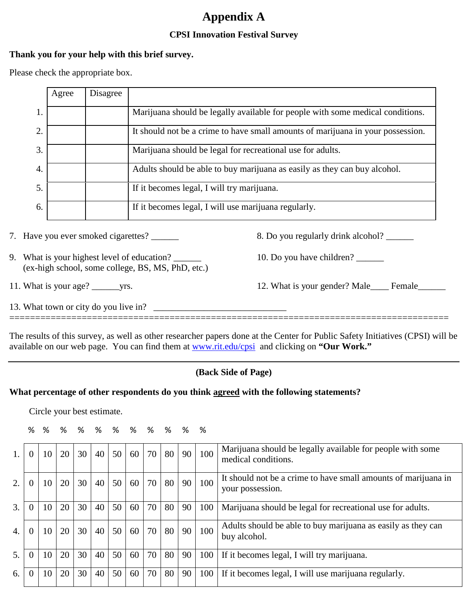# **Appendix A**

# **CPSI Innovation Festival Survey**

### **Thank you for your help with this brief survey.**

Please check the appropriate box.

|                | Agree | Disagree |                                                                                 |
|----------------|-------|----------|---------------------------------------------------------------------------------|
| 1.             |       |          | Marijuana should be legally available for people with some medical conditions.  |
| 2.             |       |          | It should not be a crime to have small amounts of marijuana in your possession. |
| $\mathfrak{Z}$ |       |          | Marijuana should be legal for recreational use for adults.                      |
| 4.             |       |          | Adults should be able to buy marijuana as easily as they can buy alcohol.       |
| 5.             |       |          | If it becomes legal, I will try marijuana.                                      |
| 6.             |       |          | If it becomes legal, I will use marijuana regularly.                            |

7. Have you ever smoked cigarettes? \_\_\_\_\_\_ 8. Do you regularly drink alcohol? \_\_\_\_\_\_

- 9. What is your highest level of education? 2012 10. Do you have children? (ex-high school, some college, BS, MS, PhD, etc.)
- 

11. What is your age? \_\_\_\_\_\_yrs. 12. What is your gender? Male\_\_\_\_ Female\_\_\_\_\_\_

13. What town or city do you live in? \_\_\_\_\_\_\_\_\_\_\_\_\_\_\_\_\_\_\_\_\_\_\_\_\_\_\_\_\_ =====================================================================================

The results of this survey, as well as other researcher papers done at the Center for Public Safety Initiatives (CPSI) will be available on our web page. You can find them at [www.rit.edu/cpsi](http://www.rit.edu/cpsi) and clicking on **"Our Work."** 

# **(Back Side of Page)**

# **What percentage of other respondents do you think agreed with the following statements?**

Circle your best estimate.

|  |  |  | %%%%%%%%%%% |  |  |
|--|--|--|-------------|--|--|
|  |  |  |             |  |  |

| 1.               | $\Omega$ | 10 | 20 | 30 | 40 | 50 | 60 | 70 | 80 | 90 | 100 | Marijuana should be legally available for people with some<br>medical conditions.  |
|------------------|----------|----|----|----|----|----|----|----|----|----|-----|------------------------------------------------------------------------------------|
| 2.               | $\Omega$ | 10 | 20 | 30 | 40 | 50 | 60 | 70 | 80 | 90 | 100 | It should not be a crime to have small amounts of marijuana in<br>your possession. |
| 3.               | $\Omega$ | 10 | 20 | 30 | 40 | 50 | 60 | 70 | 80 | 90 | 100 | Marijuana should be legal for recreational use for adults.                         |
| $\overline{4}$ . | $\Omega$ | 10 | 20 | 30 | 40 | 50 | 60 | 70 | 80 | 90 | 100 | Adults should be able to buy marijuana as easily as they can<br>buy alcohol.       |
| 5.               | 0        | 10 | 20 | 30 | 40 | 50 | 60 | 70 | 80 | 90 | 100 | If it becomes legal, I will try marijuana.                                         |
| 6.               | 0        | 10 | 20 | 30 | 40 | 50 | 60 | 70 | 80 | 90 | 100 | If it becomes legal, I will use marijuana regularly.                               |